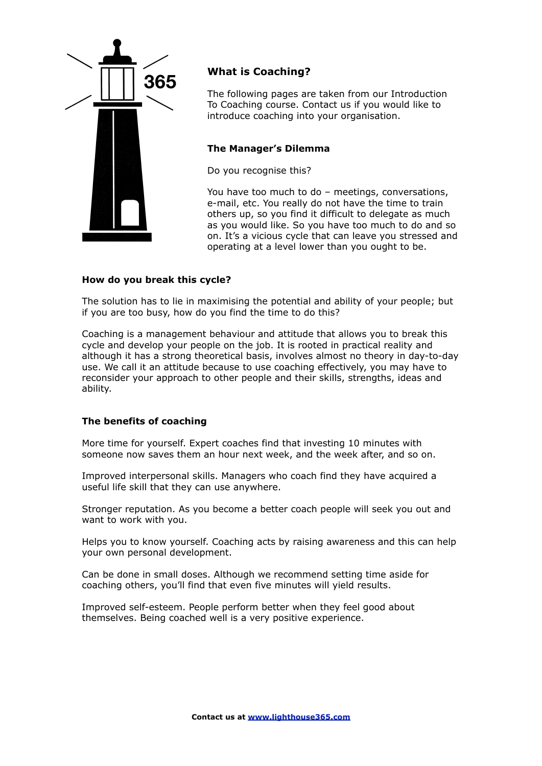

# **What is Coaching?**

The following pages are taken from our Introduction To Coaching course. [Contact us](http://www.lighthouse365.com/contact.html) if you would like to introduce coaching into your organisation.

# **The Manager's Dilemma**

Do you recognise this?

You have too much to do – meetings, conversations, e-mail, etc. You really do not have the time to train others up, so you find it difficult to delegate as much as you would like. So you have too much to do and so on. It's a vicious cycle that can leave you stressed and operating at a level lower than you ought to be.

# **How do you break this cycle?**

The solution has to lie in maximising the potential and ability of your people; but if you are too busy, how do you find the time to do this?

Coaching is a management behaviour and attitude that allows you to break this cycle and develop your people on the job. It is rooted in practical reality and although it has a strong theoretical basis, involves almost no theory in day-to-day use. We call it an attitude because to use coaching effectively, you may have to reconsider your approach to other people and their skills, strengths, ideas and ability.

# **The benefits of coaching**

More time for yourself. Expert coaches find that investing 10 minutes with someone now saves them an hour next week, and the week after, and so on.

Improved interpersonal skills. Managers who coach find they have acquired a useful life skill that they can use anywhere.

Stronger reputation. As you become a better coach people will seek you out and want to work with you.

Helps you to know yourself. Coaching acts by raising awareness and this can help your own personal development.

Can be done in small doses. Although we recommend setting time aside for coaching others, you'll find that even five minutes will yield results.

Improved self-esteem. People perform better when they feel good about themselves. Being coached well is a very positive experience.